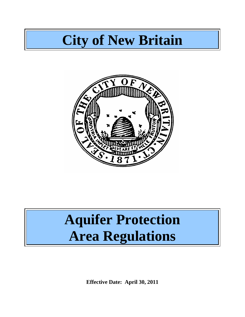## **City of New Britain**



# **Aquifer Protection Area Regulations**

**Effective Date: April 30, 2011**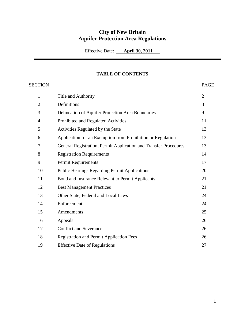## **City of New Britain Aquifer Protection Area Regulations**

Effective Date: **\_\_\_April 30, 2011\_\_\_**

## **TABLE OF CONTENTS**

SECTION PAGE

| $\mathbf{1}$   | Title and Authority                                              | $\overline{2}$ |
|----------------|------------------------------------------------------------------|----------------|
| $\overline{2}$ | Definitions                                                      | 3              |
| 3              | Delineation of Aquifer Protection Area Boundaries                | 9              |
| $\overline{4}$ | Prohibited and Regulated Activities                              | 11             |
| 5              | Activities Regulated by the State                                | 13             |
| 6              | Application for an Exemption from Prohibition or Regulation      | 13             |
| 7              | General Registration, Permit Application and Transfer Procedures | 13             |
| 8              | <b>Registration Requirements</b>                                 | 14             |
| 9              | Permit Requirements                                              | 17             |
| 10             | <b>Public Hearings Regarding Permit Applications</b>             | 20             |
| 11             | Bond and Insurance Relevant to Permit Applicants                 | 21             |
| 12             | <b>Best Management Practices</b>                                 | 21             |
| 13             | Other State, Federal and Local Laws                              | 24             |
| 14             | Enforcement                                                      | 24             |
| 15             | Amendments                                                       | 25             |
| 16             | Appeals                                                          | 26             |
| 17             | <b>Conflict and Severance</b>                                    | 26             |
| 18             | <b>Registration and Permit Application Fees</b>                  | 26             |
| 19             | <b>Effective Date of Regulations</b>                             | 27             |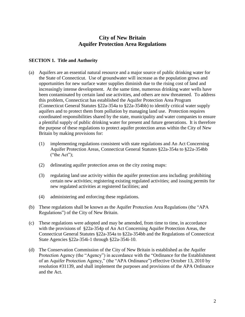## **City of New Britain Aquifer Protection Area Regulations**

## **SECTION 1. Title and Authority**

- (a) Aquifers are an essential natural resource and a major source of public drinking water for the State of Connecticut. Use of groundwater will increase as the population grows and opportunities for new surface water supplies diminish due to the rising cost of land and increasingly intense development. At the same time, numerous drinking water wells have been contaminated by certain land use activities, and others are now threatened. To address this problem, Connecticut has established the Aquifer Protection Area Program (Connecticut General Statutes §22a-354a to §22a-354bb) to identify critical water supply aquifers and to protect them from pollution by managing land use. Protection requires coordinated responsibilities shared by the state, municipality and water companies to ensure a plentiful supply of public drinking water for present and future generations. It is therefore the purpose of these regulations to protect aquifer protection areas within the City of New Britain by making provisions for:
	- (1) implementing regulations consistent with state regulations and An Act Concerning Aquifer Protection Areas, Connecticut General Statutes §22a-354a to §22a-354bb ("the Act");
	- (2) delineating aquifer protection areas on the city zoning maps:
	- (3) regulating land use activity within the aquifer protection area including: prohibiting certain new activities; registering existing regulated activities; and issuing permits for new regulated activities at registered facilities; and
	- (4) administering and enforcing these regulations.
- (b) These regulations shall be known as the Aquifer Protection Area Regulations (the "APA Regulations") of the City of New Britain.
- (c) These regulations were adopted and may be amended, from time to time, in accordance with the provisions of §22a-354p of An Act Concerning Aquifer Protection Areas, the Connecticut General Statutes §22a-354a to §22a-354bb and the Regulations of Connecticut State Agencies §22a-354i-1 through §22a-354i-10.
- (d) The Conservation Commission of the City of New Britain is established as the Aquifer Protection Agency (the "Agency") in accordance with the "Ordinance for the Establishment of an Aquifer Protection Agency," (the "APA Ordinance") effective October 13, 2010 by resolution #31139, and shall implement the purposes and provisions of the APA Ordinance and the Act.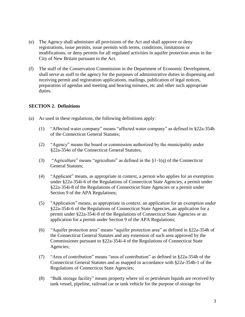- (e) The Agency shall administer all provisions of the Act and shall approve or deny registrations, issue permits, issue permits with terms, conditions, limitations or modifications, or deny permits for all regulated activities in aquifer protection areas in the City of New Britain pursuant to the Act.
- (f) The staff of the Conservation Commission in the Department of Economic Development, shall serve as staff to the agency for the purposes of administrative duties in dispensing and receiving permit and registration applications, mailings, publication of legal notices, preparation of agendas and meeting and hearing minutes, etc and other such appropriate duties.

## **SECTION 2. Definitions**

- (a) As used in these regulations, the following definitions apply:
	- (1) "Affected water company" means "affected water company" as defined in §22a-354h of the Connecticut General Statutes;
	- (2) "Agency" means the board or commission authorized by the municipality under §22a-354o of the Connecticut General Statutes;
	- (3) "Agriculture" means "agriculture" as defined in the  $\S1-1(q)$  of the Connecticut General Statutes;
	- (4) "Applicant" means, as appropriate in context, a person who applies for an exemption under §22a-354i-6 of the Regulations of Connecticut State Agencies, a permit under §22a-354i-8 of the Regulations of Connecticut State Agencies or a permit under Section 9 of the APA Regulations;
	- (5) "Application" means, as appropriate in context, an application for an exemption under §22a-354i-6 of the Regulations of Connecticut State Agencies, an application for a permit under §22a-354i-8 of the Regulations of Connecticut State Agencies or an application for a permit under Section 9 of the APA Regulations;
	- (6) "Aquifer protection area" means "aquifer protection area" as defined in §22a-354h of the Connecticut General Statutes and any extension of such area approved by the Commissioner pursuant to §22a-354i-4 of the Regulations of Connecticut State Agencies;
	- (7) "Area of contribution" means "area of contribution" as defined in §22a-354h of the Connecticut General Statutes and as mapped in accordance with §22a-354b-1 of the Regulations of Connecticut State Agencies;
	- (8) "Bulk storage facility" means property where oil or petroleum liquids are received by tank vessel, pipeline, railroad car or tank vehicle for the purpose of storage for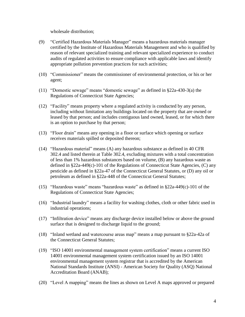wholesale distribution;

- (9) "Certified Hazardous Materials Manager" means a hazardous materials manager certified by the Institute of Hazardous Materials Management and who is qualified by reason of relevant specialized training and relevant specialized experience to conduct audits of regulated activities to ensure compliance with applicable laws and identify appropriate pollution prevention practices for such activities;
- (10) "Commissioner" means the commissioner of environmental protection, or his or her agent;
- (11) "Domestic sewage" means "domestic sewage" as defined in §22a-430-3(a) the Regulations of Connecticut State Agencies;
- (12) "Facility" means property where a regulated activity is conducted by any person, including without limitation any buildings located on the property that are owned or leased by that person; and includes contiguous land owned, leased, or for which there is an option to purchase by that person;
- (13) "Floor drain" means any opening in a floor or surface which opening or surface receives materials spilled or deposited thereon;
- (14) "Hazardous material" means (A) any hazardous substance as defined in 40 CFR 302.4 and listed therein at Table 302.4, excluding mixtures with a total concentration of less than 1% hazardous substances based on volume, (B) any hazardous waste as defined in §22a-449(c)-101 of the Regulations of Connecticut State Agencies, (C) any pesticide as defined in §22a-47 of the Connecticut General Statutes, or (D) any oil or petroleum as defined in §22a-448 of the Connecticut General Statutes;
- (15) "Hazardous waste" means "hazardous waste" as defined in §22a-449(c)-101 of the Regulations of Connecticut State Agencies;
- (16) "Industrial laundry" means a facility for washing clothes, cloth or other fabric used in industrial operations;
- (17) "Infiltration device" means any discharge device installed below or above the ground surface that is designed to discharge liquid to the ground;
- (18) "Inland wetland and watercourse areas map" means a map pursuant to §22a-42a of the Connecticut General Statutes;
- (19) "ISO 14001 environmental management system certification" means a current ISO 14001 environmental management system certification issued by an ISO 14001 environmental management system registrar that is accredited by the American National Standards Institute (ANSI) - American Society for Quality (ASQ) National Accreditation Board (ANAB);
- (20) "Level A mapping" means the lines as shown on Level A maps approved or prepared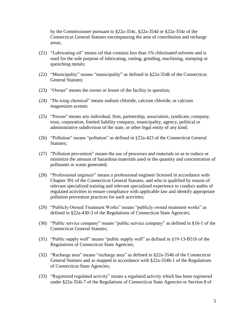by the Commissioner pursuant to §22a-354c, §22a-354d or §22a-354z of the Connecticut General Statutes encompassing the area of contribution and recharge areas;

- (21) "Lubricating oil" means oil that contains less than 1% chlorinated solvents and is used for the sole purpose of lubricating, cutting, grinding, machining, stamping or quenching metals;
- (22) "Municipality" means "municipality" as defined in §22a-354h of the Connecticut General Statutes;
- (23) "Owner" means the owner or lessee of the facility in question;
- (24) "De-icing chemical" means sodium chloride, calcium chloride, or calcium magnesium acetate;
- (25) "Person" means any individual, firm, partnership, association, syndicate, company, trust, corporation, limited liability company, municipality, agency, political or administrative subdivision of the state, or other legal entity of any kind;
- (26) "Pollution" means "pollution" as defined in §22a-423 of the Connecticut General Statutes;
- (27) "Pollution prevention" means the use of processes and materials so as to reduce or minimize the amount of hazardous materials used or the quantity and concentration of pollutants in waste generated;
- (28) "Professional engineer" means a professional engineer licensed in accordance with Chapter 391 of the Connecticut General Statutes, and who is qualified by reason of relevant specialized training and relevant specialized experience to conduct audits of regulated activities to ensure compliance with applicable law and identify appropriate pollution prevention practices for such activities;
- (29) "Publicly Owned Treatment Works" means "publicly owned treatment works" as defined in §22a-430-3 of the Regulations of Connecticut State Agencies;
- (30) "Public service company" means "public service company" as defined in §16-1 of the Connecticut General Statutes;
- (31) "Public supply well" means "public supply well" as defined in §19-13-B51b of the Regulations of Connecticut State Agencies;
- (32) "Recharge area" means "recharge area" as defined in §22a-354h of the Connecticut General Statutes and as mapped in accordance with §22a-354b-1 of the Regulations of Connecticut State Agencies;
- (33) "Registered regulated activity" means a regulated activity which has been registered under §22a-354i-7 of the Regulations of Connecticut State Agencies or Section 8 of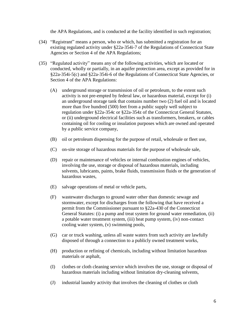the APA Regulations, and is conducted at the facility identified in such registration;

- (34) "Registrant" means a person, who or which, has submitted a registration for an existing regulated activity under §22a-354i-7 of the Regulations of Connecticut State Agencies or Section 4 of the APA Regulations;
- (35) "Regulated activity" means any of the following activities, which are located or conducted, wholly or partially, in an aquifer protection area, except as provided for in §22a-354i-5(c) and §22a-354i-6 of the Regulations of Connecticut State Agencies, or Section 4 of the APA Regulations:
	- (A) underground storage or transmission of oil or petroleum, to the extent such activity is not pre-empted by federal law, or hazardous material, except for (i) an underground storage tank that contains number two (2) fuel oil and is located more than five hundred (500) feet from a public supply well subject to regulation under §22a-354c or §22a-354z of the Connecticut General Statutes, or (ii) underground electrical facilities such as transformers, breakers, or cables containing oil for cooling or insulation purposes which are owned and operated by a public service company,
	- (B) oil or petroleum dispensing for the purpose of retail, wholesale or fleet use,
	- (C) on-site storage of hazardous materials for the purpose of wholesale sale,
	- (D) repair or maintenance of vehicles or internal combustion engines of vehicles, involving the use, storage or disposal of hazardous materials, including solvents, lubricants, paints, brake fluids, transmission fluids or the generation of hazardous wastes,
	- (E) salvage operations of metal or vehicle parts,
	- (F) wastewater discharges to ground water other than domestic sewage and stormwater, except for discharges from the following that have received a permit from the Commissioner pursuant to §22a-430 of the Connecticut General Statutes: (i) a pump and treat system for ground water remediation, (ii) a potable water treatment system, (iii) heat pump system, (iv) non-contact cooling water system, (v) swimming pools,
	- (G) car or truck washing, unless all waste waters from such activity are lawfully disposed of through a connection to a publicly owned treatment works,
	- (H) production or refining of chemicals, including without limitation hazardous materials or asphalt,
	- (I) clothes or cloth cleaning service which involves the use, storage or disposal of hazardous materials including without limitation dry-cleaning solvents,
	- (J) industrial laundry activity that involves the cleaning of clothes or cloth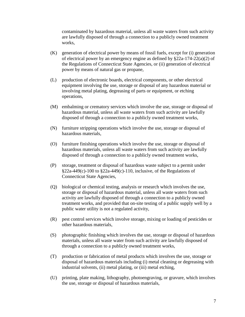contaminated by hazardous material, unless all waste waters from such activity are lawfully disposed of through a connection to a publicly owned treatment works,

- (K) generation of electrical power by means of fossil fuels, except for (i) generation of electrical power by an emergency engine as defined by §22a-174-22(a)(2) of the Regulations of Connecticut State Agencies, or (ii) generation of electrical power by means of natural gas or propane,
- (L) production of electronic boards, electrical components, or other electrical equipment involving the use, storage or disposal of any hazardous material or involving metal plating, degreasing of parts or equipment, or etching operations,
- (M) embalming or crematory services which involve the use, storage or disposal of hazardous material, unless all waste waters from such activity are lawfully disposed of through a connection to a publicly owned treatment works,
- (N) furniture stripping operations which involve the use, storage or disposal of hazardous materials,
- (O) furniture finishing operations which involve the use, storage or disposal of hazardous materials, unless all waste waters from such activity are lawfully disposed of through a connection to a publicly owned treatment works,
- (P) storage, treatment or disposal of hazardous waste subject to a permit under  $§22a-449(c)-100$  to  $§22a-449(c)-110$ , inclusive, of the Regulations of Connecticut State Agencies,
- (Q) biological or chemical testing, analysis or research which involves the use, storage or disposal of hazardous material, unless all waste waters from such activity are lawfully disposed of through a connection to a publicly owned treatment works, and provided that on-site testing of a public supply well by a public water utility is not a regulated activity,
- (R) pest control services which involve storage, mixing or loading of pesticides or other hazardous materials,
- (S) photographic finishing which involves the use, storage or disposal of hazardous materials, unless all waste water from such activity are lawfully disposed of through a connection to a publicly owned treatment works,
- (T) production or fabrication of metal products which involves the use, storage or disposal of hazardous materials including (i) metal cleaning or degreasing with industrial solvents, (ii) metal plating, or (iii) metal etching,
- (U) printing, plate making, lithography, photoengraving, or gravure, which involves the use, storage or disposal of hazardous materials,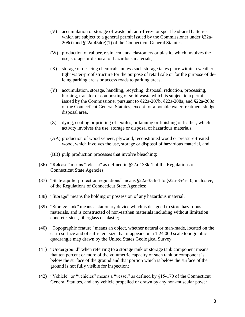- (V) accumulation or storage of waste oil, anti-freeze or spent lead-acid batteries which are subject to a general permit issued by the Commissioner under §22a-208(i) and §22a-454(e)(1) of the Connecticut General Statutes,
- (W) production of rubber, resin cements, elastomers or plastic, which involves the use, storage or disposal of hazardous materials,
- (X) storage of de-icing chemicals, unless such storage takes place within a weathertight water-proof structure for the purpose of retail sale or for the purpose of deicing parking areas or access roads to parking areas,
- (Y) accumulation, storage, handling, recycling, disposal, reduction, processing, burning, transfer or composting of solid waste which is subject to a permit issued by the Commissioner pursuant to §22a-207b, §22a-208a, and §22a-208c of the Connecticut General Statutes, except for a potable water treatment sludge disposal area,
- (Z) dying, coating or printing of textiles, or tanning or finishing of leather, which activity involves the use, storage or disposal of hazardous materials,
- (AA) production of wood veneer, plywood, reconstituted wood or pressure-treated wood, which involves the use, storage or disposal of hazardous material, and
- (BB) pulp production processes that involve bleaching;
- (36) "Release" means "release" as defined in §22a-133k-1 of the Regulations of Connecticut State Agencies;
- (37) "State aquifer protection regulations" means §22a-354i-1 to §22a-354i-10, inclusive, of the Regulations of Connecticut State Agencies;
- (38) "Storage" means the holding or possession of any hazardous material;
- (39) "Storage tank" means a stationary device which is designed to store hazardous materials, and is constructed of non-earthen materials including without limitation concrete, steel, fiberglass or plastic;
- (40) "Topographic feature" means an object, whether natural or man-made, located on the earth surface and of sufficient size that it appears on a 1:24,000 scale topographic quadrangle map drawn by the United States Geological Survey;
- (41) "Underground" when referring to a storage tank or storage tank component means that ten percent or more of the volumetric capacity of such tank or component is below the surface of the ground and that portion which is below the surface of the ground is not fully visible for inspection;
- (42) "Vehicle" or "vehicles" means a "vessel" as defined by §15-170 of the Connecticut General Statutes, and any vehicle propelled or drawn by any non-muscular power,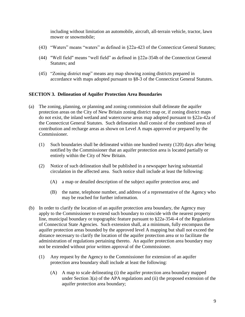including without limitation an automobile, aircraft, all-terrain vehicle, tractor, lawn mower or snowmobile;

- (43) "Waters" means "waters" as defined in §22a-423 of the Connecticut General Statutes;
- (44) "Well field" means "well field" as defined in §22a-354h of the Connecticut General Statutes; and
- (45) "Zoning district map" means any map showing zoning districts prepared in accordance with maps adopted pursuant to §8-3 of the Connecticut General Statutes.

## **SECTION 3. Delineation of Aquifer Protection Area Boundaries**

- (a) The zoning, planning, or planning and zoning commission shall delineate the aquifer protection areas on the City of New Britain zoning district map or, if zoning district maps do not exist, the inland wetland and watercourse areas map adopted pursuant to §22a-42a of the Connecticut General Statutes. Such delineation shall consist of the combined areas of contribution and recharge areas as shown on Level A maps approved or prepared by the Commissioner.
	- (1) Such boundaries shall be delineated within one hundred twenty (120) days after being notified by the Commissioner that an aquifer protection area is located partially or entirely within the City of New Britain.
	- (2) Notice of such delineation shall be published in a newspaper having substantial circulation in the affected area. Such notice shall include at least the following:
		- (A) a map or detailed description of the subject aquifer protection area; and
		- (B) the name, telephone number, and address of a representative of the Agency who may be reached for further information.
- (b) In order to clarify the location of an aquifer protection area boundary, the Agency may apply to the Commissioner to extend such boundary to coincide with the nearest property line, municipal boundary or topographic feature pursuant to §22a-354i-4 of the Regulations of Connecticut State Agencies. Such extension shall, at a minimum, fully encompass the aquifer protection areas bounded by the approved level A mapping but shall not exceed the distance necessary to clarify the location of the aquifer protection area or to facilitate the administration of regulations pertaining thereto. An aquifer protection area boundary may not be extended without prior written approval of the Commissioner.
	- (1) Any request by the Agency to the Commissioner for extension of an aquifer protection area boundary shall include at least the following:
		- (A) A map to scale delineating (i) the aquifer protection area boundary mapped under Section 3(a) of the APA regulations and (ii) the proposed extension of the aquifer protection area boundary;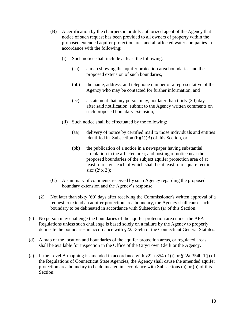- (B) A certification by the chairperson or duly authorized agent of the Agency that notice of such request has been provided to all owners of property within the proposed extended aquifer protection area and all affected water companies in accordance with the following:
	- (i) Such notice shall include at least the following:
		- (aa) a map showing the aquifer protection area boundaries and the proposed extension of such boundaries,
		- (bb) the name, address, and telephone number of a representative of the Agency who may be contacted for further information, and
		- (cc) a statement that any person may, not later than thirty (30) days after said notification, submit to the Agency written comments on such proposed boundary extension;
	- (ii) Such notice shall be effectuated by the following:
		- (aa) delivery of notice by certified mail to those individuals and entities identified in Subsection  $(b)(1)(B)$  of this Section, or
		- (bb) the publication of a notice in a newspaper having substantial circulation in the affected area; and posting of notice near the proposed boundaries of the subject aquifer protection area of at least four signs each of which shall be at least four square feet in size (2' x 2');
- (C) A summary of comments received by such Agency regarding the proposed boundary extension and the Agency's response.
- (2) Not later than sixty (60) days after receiving the Commissioner's written approval of a request to extend an aquifer protection area boundary, the Agency shall cause such boundary to be delineated in accordance with Subsection (a) of this Section.
- (c) No person may challenge the boundaries of the aquifer protection area under the APA Regulations unless such challenge is based solely on a failure by the Agency to properly delineate the boundaries in accordance with §22a-354n of the Connecticut General Statutes.
- (d) A map of the location and boundaries of the aquifer protection areas, or regulated areas, shall be available for inspection in the Office of the City/Town Clerk or the Agency.
- (e) If the Level A mapping is amended in accordance with  $\S 22a-354b-1(i)$  or  $\S 22a-354b-1(i)$  of the Regulations of Connecticut State Agencies, the Agency shall cause the amended aquifer protection area boundary to be delineated in accordance with Subsections (a) or (b) of this Section.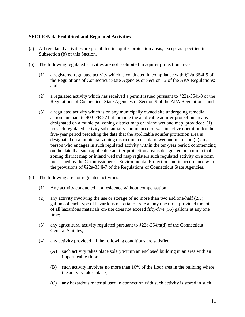## **SECTION 4. Prohibited and Regulated Activities**

- (a) All regulated activities are prohibited in aquifer protection areas, except as specified in Subsection (b) of this Section.
- (b) The following regulated activities are not prohibited in aquifer protection areas:
	- (1) a registered regulated activity which is conducted in compliance with §22a-354i-9 of the Regulations of Connecticut State Agencies or Section 12 of the APA Regulations; and
	- (2) a regulated activity which has received a permit issued pursuant to §22a-354i-8 of the Regulations of Connecticut State Agencies or Section 9 of the APA Regulations, and
	- (3) a regulated activity which is on any municipally owned site undergoing remedial action pursuant to 40 CFR 271 at the time the applicable aquifer protection area is designated on a municipal zoning district map or inland wetland map, provided: (1) no such regulated activity substantially commenced or was in active operation for the five-year period preceding the date that the applicable aquifer protection area is designated on a municipal zoning district map or inland wetland map, and (2) any person who engages in such regulated activity within the ten-year period commencing on the date that such applicable aquifer protection area is designated on a municipal zoning district map or inland wetland map registers such regulated activity on a form prescribed by the Commissioner of Environmental Protection and in accordance with the provisions of §22a-354i-7 of the Regulations of Connecticut State Agencies.
- (c) The following are not regulated activities:
	- (1) Any activity conducted at a residence without compensation;
	- (2) any activity involving the use or storage of no more than two and one-half (2.5) gallons of each type of hazardous material on-site at any one time, provided the total of all hazardous materials on-site does not exceed fifty-five (55) gallons at any one time;
	- (3) any agricultural activity regulated pursuant to §22a-354m(d) of the Connecticut General Statutes;
	- (4) any activity provided all the following conditions are satisfied:
		- (A) such activity takes place solely within an enclosed building in an area with an impermeable floor,
		- (B) such activity involves no more than 10% of the floor area in the building where the activity takes place,
		- (C) any hazardous material used in connection with such activity is stored in such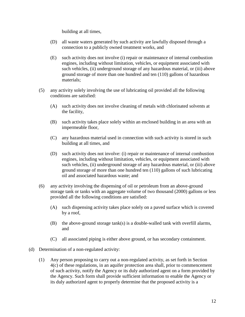building at all times,

- (D) all waste waters generated by such activity are lawfully disposed through a connection to a publicly owned treatment works, and
- (E) such activity does not involve (i) repair or maintenance of internal combustion engines, including without limitation, vehicles, or equipment associated with such vehicles, (ii) underground storage of any hazardous material, or (iii) above ground storage of more than one hundred and ten (110) gallons of hazardous materials;
- (5) any activity solely involving the use of lubricating oil provided all the following conditions are satisfied:
	- (A) such activity does not involve cleaning of metals with chlorinated solvents at the facility,
	- (B) such activity takes place solely within an enclosed building in an area with an impermeable floor,
	- (C) any hazardous material used in connection with such activity is stored in such building at all times, and
	- (D) such activity does not involve: (i) repair or maintenance of internal combustion engines, including without limitation, vehicles, or equipment associated with such vehicles, (ii) underground storage of any hazardous material, or (iii) above ground storage of more than one hundred ten (110) gallons of such lubricating oil and associated hazardous waste; and
- (6) any activity involving the dispensing of oil or petroleum from an above-ground storage tank or tanks with an aggregate volume of two thousand (2000) gallons or less provided all the following conditions are satisfied:
	- (A) such dispensing activity takes place solely on a paved surface which is covered by a roof,
	- (B) the above-ground storage tank(s) is a double-walled tank with overfill alarms, and
	- (C) all associated piping is either above ground, or has secondary containment.
- (d) Determination of a non-regulated activity:
	- (1) Any person proposing to carry out a non-regulated activity, as set forth in Section 4(c) of these regulations, in an aquifer protection area shall, prior to commencement of such activity, notify the Agency or its duly authorized agent on a form provided by the Agency. Such form shall provide sufficient information to enable the Agency or its duly authorized agent to properly determine that the proposed activity is a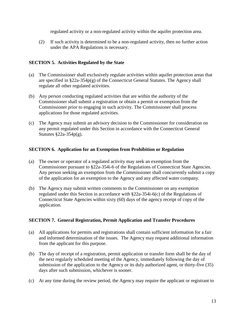regulated activity or a non-regulated activity within the aquifer protection area.

(2) If such activity is determined to be a non-regulated activity, then no further action under the APA Regulations is necessary.

## **SECTION 5. Activities Regulated by the State**

- (a) The Commissioner shall exclusively regulate activities within aquifer protection areas that are specified in  $\S22a-354p(g)$  of the Connecticut General Statutes. The Agency shall regulate all other regulated activities.
- (b) Any person conducting regulated activities that are within the authority of the Commissioner shall submit a registration or obtain a permit or exemption from the Commissioner prior to engaging in such activity. The Commissioner shall process applications for those regulated activities.
- (c) The Agency may submit an advisory decision to the Commissioner for consideration on any permit regulated under this Section in accordance with the Connecticut General Statutes §22a-354p(g).

## **SECTION 6. Application for an Exemption from Prohibition or Regulation**

- (a) The owner or operator of a regulated activity may seek an exemption from the Commissioner pursuant to §22a-354i-6 of the Regulations of Connecticut State Agencies. Any person seeking an exemption from the Commissioner shall concurrently submit a copy of the application for an exemption to the Agency and any affected water company.
- (b) The Agency may submit written comments to the Commissioner on any exemption regulated under this Section in accordance with §22a-354i-6(c) of the Regulations of Connecticut State Agencies within sixty (60) days of the agency receipt of copy of the application.

## **SECTION 7. General Registration, Permit Application and Transfer Procedures**

- (a) All applications for permits and registrations shall contain sufficient information for a fair and informed determination of the issues. The Agency may request additional information from the applicant for this purpose.
- (b) The day of receipt of a registration, permit application or transfer form shall be the day of the next regularly scheduled meeting of the Agency, immediately following the day of submission of the application to the Agency or its duly authorized agent, or thirty-five (35) days after such submission, whichever is sooner.
- (c) At any time during the review period, the Agency may require the applicant or registrant to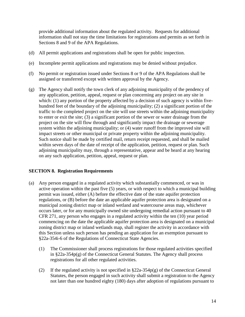provide additional information about the regulated activity. Requests for additional information shall not stay the time limitations for registrations and permits as set forth in Sections 8 and 9 of the APA Regulations.

- (d) All permit applications and registrations shall be open for public inspection.
- (e) Incomplete permit applications and registrations may be denied without prejudice.
- (f) No permit or registration issued under Sections 8 or 9 of the APA Regulations shall be assigned or transferred except with written approval by the Agency.
- (g) The Agency shall notify the town clerk of any adjoining municipality of the pendency of any application, petition, appeal, request or plan concerning any project on any site in which: (1) any portion of the property affected by a decision of such agency is within fivehundred feet of the boundary of the adjoining municipality; (2) a significant portion of the traffic to the completed project on the site will use streets within the adjoining municipality to enter or exit the site; (3) a significant portion of the sewer or water drainage from the project on the site will flow through and significantly impact the drainage or sewerage system within the adjoining municipality; or (4) water runoff from the improved site will impact streets or other municipal or private property within the adjoining municipality. Such notice shall be made by certified mail, return receipt requested, and shall be mailed within seven days of the date of receipt of the application, petition, request or plan. Such adjoining municipality may, through a representative, appear and be heard at any hearing on any such application, petition, appeal, request or plan.

## **SECTION 8. Registration Requirements**

- (a) Any person engaged in a regulated activity which substantially commenced, or was in active operation within the past five (5) years, or with respect to which a municipal building permit was issued, either (A) before the effective date of the state aquifer protection regulations, or (B) before the date an applicable aquifer protection area is designated on a municipal zoning district map or inland wetland and watercourse areas map, whichever occurs later, or for any municipally owned site undergoing remedial action pursuant to 40 CFR 271, any person who engages in a regulated activity within the ten (10) year period commencing on the date the applicable aquifer protection area is designated on a municipal zoning district map or inland wetlands map, shall register the activity in accordance with this Section unless such person has pending an application for an exemption pursuant to §22a-354i-6 of the Regulations of Connecticut State Agencies.
	- (1) The Commissioner shall process registrations for those regulated activities specified in §22a-354p(g) of the Connecticut General Statutes. The Agency shall process registrations for all other regulated activities.
	- (2) If the regulated activity is not specified in  $\S 22a-354p(g)$  of the Connecticut General Statutes, the person engaged in such activity shall submit a registration to the Agency not later than one hundred eighty (180) days after adoption of regulations pursuant to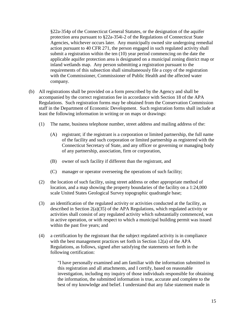§22a-354p of the Connecticut General Statutes, or the designation of the aquifer protection area pursuant to §22a-354i-2 of the Regulations of Connecticut State Agencies, whichever occurs later. Any municipally owned site undergoing remedial action pursuant to 40 CFR 271, the person engaged in such regulated activity shall submit a registration within the ten (10) year period commencing on the date the applicable aquifer protection area is designated on a municipal zoning district map or inland wetlands map. Any person submitting a registration pursuant to the requirements of this subsection shall simultaneously file a copy of the registration with the Commissioner, Commissioner of Public Health and the affected water company.

- (b) All registrations shall be provided on a form prescribed by the Agency and shall be accompanied by the correct registration fee in accordance with Section 18 of the APA Regulations. Such registration forms may be obtained from the Conservation Commission staff in the Department of Economic Development. Such registration forms shall include at least the following information in writing or on maps or drawings:
	- (1) The name, business telephone number, street address and mailing address of the:
		- (A) registrant; if the registrant is a corporation or limited partnership, the full name of the facility and such corporation or limited partnership as registered with the Connecticut Secretary of State, and any officer or governing or managing body of any partnership, association, firm or corporation,
		- (B) owner of such facility if different than the registrant, and
		- (C) manager or operator overseeing the operations of such facility;
	- (2) the location of such facility, using street address or other appropriate method of location, and a map showing the property boundaries of the facility on a 1:24,000 scale United States Geological Survey topographic quadrangle base;
	- (3) an identification of the regulated activity or activities conducted at the facility, as described in Section  $2(a)(35)$  of the APA Regulations, which regulated activity or activities shall consist of any regulated activity which substantially commenced, was in active operation, or with respect to which a municipal building permit was issued within the past five years; and
	- (4) a certification by the registrant that the subject regulated activity is in compliance with the best management practices set forth in Section 12(a) of the APA Regulations, as follows, signed after satisfying the statements set forth in the following certification:

"I have personally examined and am familiar with the information submitted in this registration and all attachments, and I certify, based on reasonable investigation, including my inquiry of those individuals responsible for obtaining the information, the submitted information is true, accurate and complete to the best of my knowledge and belief. I understand that any false statement made in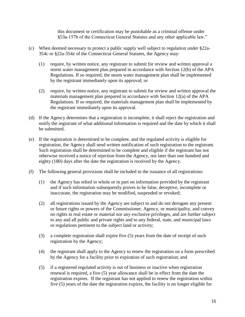this document or certification may be punishable as a criminal offense under §53a-157b of the Connecticut General Statutes and any other applicable law."

- (c) When deemed necessary to protect a public supply well subject to regulation under §22a-354c or §22a-354z of the Connecticut General Statutes, the Agency may:
	- (1) require, by written notice, any registrant to submit for review and written approval a storm water management plan prepared in accordance with Section 12(b) of the APA Regulations. If so required, the storm water management plan shall be implemented by the registrant immediately upon its approval; or
	- (2) require, by written notice, any registrant to submit for review and written approval the materials management plan prepared in accordance with Section 12(a) of the APA Regulations. If so required, the materials management plan shall be implemented by the registrant immediately upon its approval.
- (d) If the Agency determines that a registration is incomplete, it shall reject the registration and notify the registrant of what additional information is required and the date by which it shall be submitted.
- (e) If the registration is determined to be complete, and the regulated activity is eligible for registration, the Agency shall send written notification of such registration to the registrant. Such registration shall be determined to be complete and eligible if the registrant has not otherwise received a notice of rejection from the Agency, not later than one hundred and eighty (180) days after the date the registration is received by the Agency.
- (f) The following general provisions shall be included in the issuance of all registrations:
	- (1) the Agency has relied in whole or in part on information provided by the registrant and if such information subsequently proves to be false, deceptive, incomplete or inaccurate, the registration may be modified, suspended or revoked;
	- (2) all registrations issued by the Agency are subject to and do not derogate any present or future rights or powers of the Commissioner, Agency, or municipality, and convey no rights in real estate or material nor any exclusive privileges, and are further subject to any and all public and private rights and to any federal, state, and municipal laws or regulations pertinent to the subject land or activity;
	- (3) a complete registration shall expire five (5) years from the date of receipt of such registration by the Agency;
	- (4) the registrant shall apply to the Agency to renew the registration on a form prescribed by the Agency for a facility prior to expiration of such registration; and
	- (5) if a registered regulated activity is out of business or inactive when registration renewal is required, a five (5) year allowance shall be in effect from the date the registration expires. If the registrant has not applied to renew the registration within five (5) years of the date the registration expires, the facility is no longer eligible for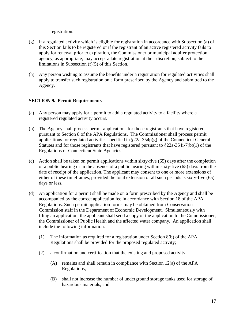registration.

- (g) If a regulated activity which is eligible for registration in accordance with Subsection (a) of this Section fails to be registered or if the registrant of an active registered activity fails to apply for renewal prior to expiration, the Commissioner or municipal aquifer protection agency, as appropriate, may accept a late registration at their discretion, subject to the limitations in Subsection (f)(5) of this Section.
- (h) Any person wishing to assume the benefits under a registration for regulated activities shall apply to transfer such registration on a form prescribed by the Agency and submitted to the Agency.

## **SECTION 9. Permit Requirements**

- (a) Any person may apply for a permit to add a regulated activity to a facility where a registered regulated activity occurs.
- (b) The Agency shall process permit applications for those registrants that have registered pursuant to Section 8 of the APA Regulations. The Commissioner shall process permit applications for regulated activities specified in §22a-354p(g) of the Connecticut General Statutes and for those registrants that have registered pursuant to §22a-354i-7(b)(1) of the Regulations of Connecticut State Agencies.
- (c) Action shall be taken on permit applications within sixty-five (65) days after the completion of a public hearing or in the absence of a public hearing within sixty-five (65) days from the date of receipt of the application. The applicant may consent to one or more extensions of either of these timeframes, provided the total extension of all such periods is sixty-five (65) days or less.
- (d) An application for a permit shall be made on a form prescribed by the Agency and shall be accompanied by the correct application fee in accordance with Section 18 of the APA Regulations. Such permit application forms may be obtained from Conservation Commission staff in the Department of Economic Development. Simultaneously with filing an application, the applicant shall send a copy of the application to the Commissioner, the Commissioner of Public Health and the affected water company. An application shall include the following information:
	- (1) The information as required for a registration under Section 8(b) of the APA Regulations shall be provided for the proposed regulated activity;
	- (2) a confirmation and certification that the existing and proposed activity:
		- (A) remains and shall remain in compliance with Section  $12(a)$  of the APA Regulations,
		- (B) shall not increase the number of underground storage tanks used for storage of hazardous materials, and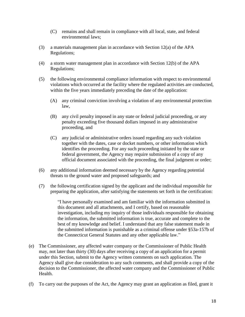- (C) remains and shall remain in compliance with all local, state, and federal environmental laws;
- (3) a materials management plan in accordance with Section 12(a) of the APA Regulations;
- (4) a storm water management plan in accordance with Section 12(b) of the APA Regulations;
- (5) the following environmental compliance information with respect to environmental violations which occurred at the facility where the regulated activities are conducted, within the five years immediately preceding the date of the application:
	- (A) any criminal conviction involving a violation of any environmental protection law,
	- (B) any civil penalty imposed in any state or federal judicial proceeding, or any penalty exceeding five thousand dollars imposed in any administrative proceeding, and
	- (C) any judicial or administrative orders issued regarding any such violation together with the dates, case or docket numbers, or other information which identifies the proceeding. For any such proceeding initiated by the state or federal government, the Agency may require submission of a copy of any official document associated with the proceeding, the final judgment or order;
- (6) any additional information deemed necessary by the Agency regarding potential threats to the ground water and proposed safeguards; and
- (7) the following certification signed by the applicant and the individual responsible for preparing the application, after satisfying the statements set forth in the certification:

"I have personally examined and am familiar with the information submitted in this document and all attachments, and I certify, based on reasonable investigation, including my inquiry of those individuals responsible for obtaining the information, the submitted information is true, accurate and complete to the best of my knowledge and belief. I understand that any false statement made in the submitted information is punishable as a criminal offense under §53a-157b of the Connecticut General Statutes and any other applicable law."

- (e) The Commissioner, any affected water company or the Commissioner of Public Health may, not later than thirty (30) days after receiving a copy of an application for a permit under this Section, submit to the Agency written comments on such application. The Agency shall give due consideration to any such comments, and shall provide a copy of the decision to the Commissioner, the affected water company and the Commissioner of Public Health.
- (f) To carry out the purposes of the Act, the Agency may grant an application as filed, grant it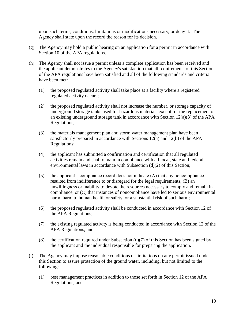upon such terms, conditions, limitations or modifications necessary, or deny it. The Agency shall state upon the record the reason for its decision.

- (g) The Agency may hold a public hearing on an application for a permit in accordance with Section 10 of the APA regulations.
- (h) The Agency shall not issue a permit unless a complete application has been received and the applicant demonstrates to the Agency's satisfaction that all requirements of this Section of the APA regulations have been satisfied and all of the following standards and criteria have been met:
	- (1) the proposed regulated activity shall take place at a facility where a registered regulated activity occurs;
	- (2) the proposed regulated activity shall not increase the number, or storage capacity of underground storage tanks used for hazardous materials except for the replacement of an existing underground storage tank in accordance with Section 12(a)(3) of the APA Regulations;
	- (3) the materials management plan and storm water management plan have been satisfactorily prepared in accordance with Sections 12(a) and 12(b) of the APA Regulations;
	- (4) the applicant has submitted a confirmation and certification that all regulated activities remain and shall remain in compliance with all local, state and federal environmental laws in accordance with Subsection (d)(2) of this Section;
	- (5) the applicant's compliance record does not indicate (A) that any noncompliance resulted from indifference to or disregard for the legal requirements, (B) an unwillingness or inability to devote the resources necessary to comply and remain in compliance, or (C) that instances of noncompliance have led to serious environmental harm, harm to human health or safety, or a substantial risk of such harm;
	- (6) the proposed regulated activity shall be conducted in accordance with Section 12 of the APA Regulations;
	- (7) the existing regulated activity is being conducted in accordance with Section 12 of the APA Regulations; and
	- (8) the certification required under Subsection  $(d)(7)$  of this Section has been signed by the applicant and the individual responsible for preparing the application.
- (i) The Agency may impose reasonable conditions or limitations on any permit issued under this Section to assure protection of the ground water, including, but not limited to the following:
	- (1) best management practices in addition to those set forth in Section 12 of the APA Regulations; and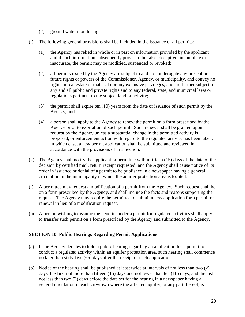- (2) ground water monitoring.
- (j) The following general provisions shall be included in the issuance of all permits:
	- (1) the Agency has relied in whole or in part on information provided by the applicant and if such information subsequently proves to be false, deceptive, incomplete or inaccurate, the permit may be modified, suspended or revoked;
	- (2) all permits issued by the Agency are subject to and do not derogate any present or future rights or powers of the Commissioner, Agency, or municipality, and convey no rights in real estate or material nor any exclusive privileges, and are further subject to any and all public and private rights and to any federal, state, and municipal laws or regulations pertinent to the subject land or activity;
	- (3) the permit shall expire ten (10) years from the date of issuance of such permit by the Agency; and
	- (4) a person shall apply to the Agency to renew the permit on a form prescribed by the Agency prior to expiration of such permit. Such renewal shall be granted upon request by the Agency unless a substantial change in the permitted activity is proposed, or enforcement action with regard to the regulated activity has been taken, in which case, a new permit application shall be submitted and reviewed in accordance with the provisions of this Section.
- (k) The Agency shall notify the applicant or permittee within fifteen (15) days of the date of the decision by certified mail, return receipt requested, and the Agency shall cause notice of its order in issuance or denial of a permit to be published in a newspaper having a general circulation in the municipality in which the aquifer protection area is located.
- (l) A permittee may request a modification of a permit from the Agency. Such request shall be on a form prescribed by the Agency, and shall include the facts and reasons supporting the request. The Agency may require the permittee to submit a new application for a permit or renewal in lieu of a modification request.
- (m) A person wishing to assume the benefits under a permit for regulated activities shall apply to transfer such permit on a form prescribed by the Agency and submitted to the Agency.

## **SECTION 10. Public Hearings Regarding Permit Applications**

- (a) If the Agency decides to hold a public hearing regarding an application for a permit to conduct a regulated activity within an aquifer protection area, such hearing shall commence no later than sixty-five (65) days after the receipt of such application.
- (b) Notice of the hearing shall be published at least twice at intervals of not less than two (2) days, the first not more than fifteen (15) days and not fewer than ten (10) days, and the last not less than two (2) days before the date set for the hearing in a newspaper having a general circulation in each city/town where the affected aquifer, or any part thereof, is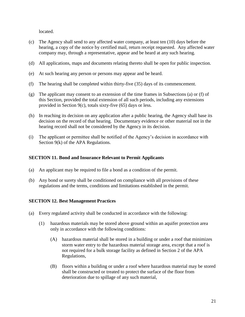located.

- (c) The Agency shall send to any affected water company, at least ten (10) days before the hearing, a copy of the notice by certified mail, return receipt requested. Any affected water company may, through a representative, appear and be heard at any such hearing.
- (d) All applications, maps and documents relating thereto shall be open for public inspection.
- (e) At such hearing any person or persons may appear and be heard.
- (f) The hearing shall be completed within thirty-five (35) days of its commencement.
- (g) The applicant may consent to an extension of the time frames in Subsections (a) or (f) of this Section, provided the total extension of all such periods, including any extensions provided in Section 9(c), totals sixty-five (65) days or less.
- (h) In reaching its decision on any application after a public hearing, the Agency shall base its decision on the record of that hearing. Documentary evidence or other material not in the hearing record shall not be considered by the Agency in its decision.
- (i) The applicant or permittee shall be notified of the Agency's decision in accordance with Section 9(k) of the APA Regulations.

## **SECTION 11. Bond and Insurance Relevant to Permit Applicants**

- (a) An applicant may be required to file a bond as a condition of the permit.
- (b) Any bond or surety shall be conditioned on compliance with all provisions of these regulations and the terms, conditions and limitations established in the permit.

#### **SECTION 12. Best Management Practices**

- (a) Every regulated activity shall be conducted in accordance with the following:
	- (1) hazardous materials may be stored above ground within an aquifer protection area only in accordance with the following conditions:
		- (A) hazardous material shall be stored in a building or under a roof that minimizes storm water entry to the hazardous material storage area, except that a roof is not required for a bulk storage facility as defined in Section 2 of the APA Regulations,
		- (B) floors within a building or under a roof where hazardous material may be stored shall be constructed or treated to protect the surface of the floor from deterioration due to spillage of any such material,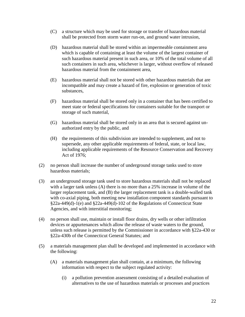- (C) a structure which may be used for storage or transfer of hazardous material shall be protected from storm water run-on, and ground water intrusion,
- (D) hazardous material shall be stored within an impermeable containment area which is capable of containing at least the volume of the largest container of such hazardous material present in such area, or 10% of the total volume of all such containers in such area, whichever is larger, without overflow of released hazardous material from the containment area,
- (E) hazardous material shall not be stored with other hazardous materials that are incompatible and may create a hazard of fire, explosion or generation of toxic substances,
- (F) hazardous material shall be stored only in a container that has been certified to meet state or federal specifications for containers suitable for the transport or storage of such material,
- (G) hazardous material shall be stored only in an area that is secured against unauthorized entry by the public, and
- (H) the requirements of this subdivision are intended to supplement, and not to supersede, any other applicable requirements of federal, state, or local law, including applicable requirements of the Resource Conservation and Recovery Act of 1976;
- (2) no person shall increase the number of underground storage tanks used to store hazardous materials;
- (3) an underground storage tank used to store hazardous materials shall not be replaced with a larger tank unless (A) there is no more than a 25% increase in volume of the larger replacement tank, and (B) the larger replacement tank is a double-walled tank with co-axial piping, both meeting new installation component standards pursuant to §22a-449(d)-1(e) and §22a-449(d)-102 of the Regulations of Connecticut State Agencies, and with interstitial monitoring;
- (4) no person shall use, maintain or install floor drains, dry wells or other infiltration devices or appurtenances which allow the release of waste waters to the ground, unless such release is permitted by the Commissioner in accordance with §22a-430 or §22a-430b of the Connecticut General Statutes; and
- (5) a materials management plan shall be developed and implemented in accordance with the following:
	- (A) a materials management plan shall contain, at a minimum, the following information with respect to the subject regulated activity:
		- (i) a pollution prevention assessment consisting of a detailed evaluation of alternatives to the use of hazardous materials or processes and practices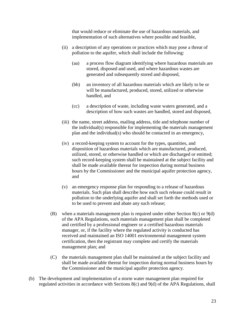that would reduce or eliminate the use of hazardous materials, and implementation of such alternatives where possible and feasible,

- (ii) a description of any operations or practices which may pose a threat of pollution to the aquifer, which shall include the following:
	- (aa) a process flow diagram identifying where hazardous materials are stored, disposed and used, and where hazardous wastes are generated and subsequently stored and disposed,
	- (bb) an inventory of all hazardous materials which are likely to be or will be manufactured, produced, stored, utilized or otherwise handled, and
	- (cc) a description of waste, including waste waters generated, and a description of how such wastes are handled, stored and disposed,
- (iii) the name, street address, mailing address, title and telephone number of the individual(s) responsible for implementing the materials management plan and the individual(s) who should be contacted in an emergency,
- (iv) a record-keeping system to account for the types, quantities, and disposition of hazardous materials which are manufactured, produced, utilized, stored, or otherwise handled or which are discharged or emitted; such record-keeping system shall be maintained at the subject facility and shall be made available thereat for inspection during normal business hours by the Commissioner and the municipal aquifer protection agency, and
- (v) an emergency response plan for responding to a release of hazardous materials. Such plan shall describe how each such release could result in pollution to the underlying aquifer and shall set forth the methods used or to be used to prevent and abate any such release;
- (B) when a materials management plan is required under either Section 8(c) or 9(d) of the APA Regulations, such materials management plan shall be completed and certified by a professional engineer or a certified hazardous materials manager, or, if the facility where the regulated activity is conducted has received and maintained an ISO 14001 environmental management system certification, then the registrant may complete and certify the materials management plan; and
- (C) the materials management plan shall be maintained at the subject facility and shall be made available thereat for inspection during normal business hours by the Commissioner and the municipal aquifer protection agency.
- (b) The development and implementation of a storm water management plan required for regulated activities in accordance with Sections 8(c) and 9(d) of the APA Regulations, shall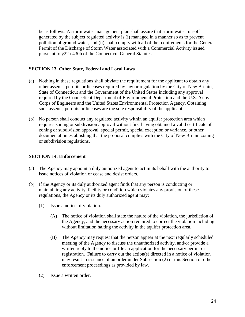be as follows: A storm water management plan shall assure that storm water run-off generated by the subject regulated activity is (i) managed in a manner so as to prevent pollution of ground water, and (ii) shall comply with all of the requirements for the General Permit of the Discharge of Storm Water associated with a Commercial Activity issued pursuant to §22a-430b of the Connecticut General Statutes.

## **SECTION 13. Other State, Federal and Local Laws**

- (a) Nothing in these regulations shall obviate the requirement for the applicant to obtain any other assents, permits or licenses required by law or regulation by the City of New Britain, State of Connecticut and the Government of the United States including any approval required by the Connecticut Department of Environmental Protection and the U.S. Army Corps of Engineers and the United States Environmental Protection Agency. Obtaining such assents, permits or licenses are the sole responsibility of the applicant.
- (b) No person shall conduct any regulated activity within an aquifer protection area which requires zoning or subdivision approval without first having obtained a valid certificate of zoning or subdivision approval, special permit, special exception or variance, or other documentation establishing that the proposal complies with the City of New Britain zoning or subdivision regulations.

## **SECTION 14. Enforcement**

- (a) The Agency may appoint a duly authorized agent to act in its behalf with the authority to issue notices of violation or cease and desist orders.
- (b) If the Agency or its duly authorized agent finds that any person is conducting or maintaining any activity, facility or condition which violates any provision of these regulations, the Agency or its duly authorized agent may:
	- (1) Issue a notice of violation.
		- (A) The notice of violation shall state the nature of the violation, the jurisdiction of the Agency, and the necessary action required to correct the violation including without limitation halting the activity in the aquifer protection area.
		- (B) The Agency may request that the person appear at the next regularly scheduled meeting of the Agency to discuss the unauthorized activity, and/or provide a written reply to the notice or file an application for the necessary permit or registration. Failure to carry out the action(s) directed in a notice of violation may result in issuance of an order under Subsection (2) of this Section or other enforcement proceedings as provided by law.
	- (2) Issue a written order.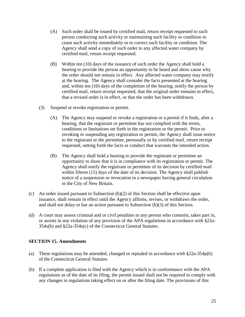- (A) Such order shall be issued by certified mail, return receipt requested to such person conducting such activity or maintaining such facility or condition to cease such activity immediately or to correct such facility or condition. The Agency shall send a copy of such order to any affected water company by certified mail, return receipt requested.
- (B) Within ten (10) days of the issuance of such order the Agency shall hold a hearing to provide the person an opportunity to be heard and show cause why the order should not remain in effect. Any affected water company may testify at the hearing. The Agency shall consider the facts presented at the hearing and, within ten (10) days of the completion of the hearing, notify the person by certified mail, return receipt requested, that the original order remains in effect, that a revised order is in effect, or that the order has been withdrawn.
- (3) Suspend or revoke registration or permit.
	- (A) The Agency may suspend or revoke a registration or a permit if it finds, after a hearing, that the registrant or permittee has not complied with the terms, conditions or limitations set forth in the registration or the permit. Prior to revoking or suspending any registration or permit, the Agency shall issue notice to the registrant or the permittee, personally or by certified mail, return receipt requested, setting forth the facts or conduct that warrants the intended action.
	- (B) The Agency shall hold a hearing to provide the registrant or permittee an opportunity to show that it is in compliance with its registration or permit. The Agency shall notify the registrant or permittee of its decision by certified mail within fifteen (15) days of the date of its decision. The Agency shall publish notice of a suspension or revocation in a newspaper having general circulation in the City of New Britain.
- (c) An order issued pursuant to Subsection (b)(2) of this Section shall be effective upon issuance, shall remain in effect until the Agency affirms, revises, or withdraws the order, and shall not delay or bar an action pursuant to Subsection (b)(3) of this Section.
- (d) A court may assess criminal and or civil penalties to any person who commits, takes part in, or assists in any violation of any provision of the APA regulations in accordance with §22a-354s(b) and §22a-354s(c) of the Connecticut General Statutes.

## **SECTION 15. Amendments**

- (a) These regulations may be amended, changed or repealed in accordance with §22a-354p(b) of the Connecticut General Statutes.
- (b) If a complete application is filed with the Agency which is in conformance with the APA regulations as of the date of its filing, the permit issued shall not be required to comply with any changes in regulations taking effect on or after the filing date. The provisions of this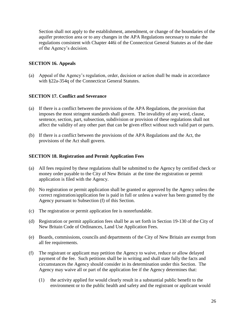Section shall not apply to the establishment, amendment, or change of the boundaries of the aquifer protection area or to any changes in the APA Regulations necessary to make the regulations consistent with Chapter 446i of the Connecticut General Statutes as of the date of the Agency's decision.

### **SECTION 16. Appeals**

(a) Appeal of the Agency's regulation, order, decision or action shall be made in accordance with §22a-354q of the Connecticut General Statutes.

### **SECTION 17. Conflict and Severance**

- (a) If there is a conflict between the provisions of the APA Regulations, the provision that imposes the most stringent standards shall govern. The invalidity of any word, clause, sentence, section, part, subsection, subdivision or provision of these regulations shall not affect the validity of any other part that can be given effect without such valid part or parts.
- (b) If there is a conflict between the provisions of the APA Regulations and the Act, the provisions of the Act shall govern.

#### **SECTION 18. Registration and Permit Application Fees**

- (a) All fees required by these regulations shall be submitted to the Agency by certified check or money order payable to the City of New Britain at the time the registration or permit application is filed with the Agency.
- (b) No registration or permit application shall be granted or approved by the Agency unless the correct registration/application fee is paid in full or unless a waiver has been granted by the Agency pursuant to Subsection (f) of this Section.
- (c) The registration or permit application fee is nonrefundable.
- (d) Registration or permit application fees shall be as set forth in Section 19-130 of the City of New Britain Code of Ordinances, Land Use Application Fees.
- (e) Boards, commissions, councils and departments of the City of New Britain are exempt from all fee requirements.
- (f) The registrant or applicant may petition the Agency to waive, reduce or allow delayed payment of the fee. Such petitions shall be in writing and shall state fully the facts and circumstances the Agency should consider in its determination under this Section. The Agency may waive all or part of the application fee if the Agency determines that:
	- (1) the activity applied for would clearly result in a substantial public benefit to the environment or to the public health and safety and the registrant or applicant would